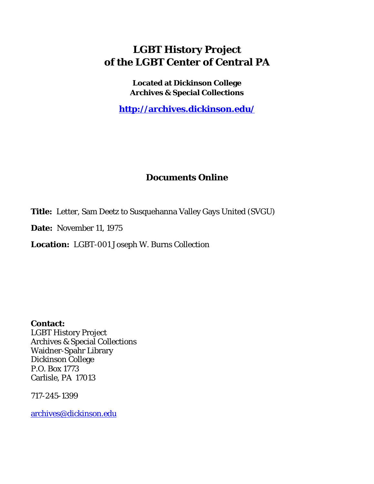## **LGBT History Project of the LGBT Center of Central PA**

**Located at Dickinson College Archives & Special Collections**

**<http://archives.dickinson.edu/>**

## **Documents Online**

**Title:** Letter, Sam Deetz to Susquehanna Valley Gays United (SVGU)

**Date:** November 11, 1975

**Location:** LGBT-001 Joseph W. Burns Collection

**Contact:**  LGBT History Project Archives & Special Collections Waidner-Spahr Library Dickinson College P.O. Box 1773 Carlisle, PA 17013

717-245-1399

[archives@dickinson.edu](mailto:archives@dickinson.edu)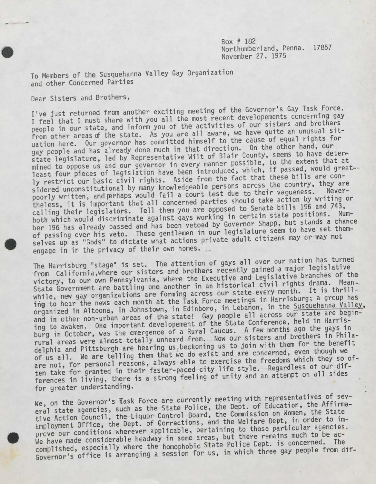Box # 182 Northumberland, Penna. 17857 November 27, 1975

I

To Members of the Susquehanna Valley Gay Organization and other Concerned Parties

Dear Sisters and Brothers,

I've just returned from another exciting meeting of the Governor's Gay Task Force. I feel that I must share with you all the most recent developements concerning gay people in our state, and inform you of the activities of our sisters and brothers from other areas of the state. As you are all aware, we have quite an unusual sit uation here. Our governor has committed himself to the cause of equal rights for gay people and has already done much in that direction. On the other hand, our state legislature, led by Representative Wilt of Blair County, seems to have determined to oppose us and our governor in every manner possible, to the extent that at least four pieces of legislation have been introduced, which, if passed, would greatly restrict our basic civil rights. Aside from the fact that these bills are considered unconstitutional by many knowledgeable persons across the country, they are poorly written, and perhaps would fail a court test due to their vagueness. theless, it is important that all concerned parties should take action by writing or calling their legislators. Tell them you are opposed to Senate bills 196 and 743, both which would discriminate against gays working in certain state positions. Number 196 has already passed and has been vetoed by Governor Shapp, but stands a cnance of passing over his veto. These gentlemen in our legislature seem to have set themselves up as "Gods" to dictate what actions private adult citizens may or may not engage in in the privacy of their own homes.

The Harrisburg "stage" is set. The attention of gays all over our nation has turned from California, where our sisters and brothers recently gained a major legislative victory, to our own Pennsylvania, where the Executive and Legislative branches of the From Carriornia, micro-<br>victory, to our own Pennsylvania, where the Executive and Legislative branches of the<br>State Government are battling one another in an historical civil rights drama. Mean-<br>while, new gay organization while, new gay organizations are forming across our seace every harrisburg; a group has<br>ing to hear the news each month at the Task Force meetings in Harrisburg; a group has<br>organized in Altoona, in Johnstown, in Edinboro, organized in Altoona, in Johnstown, in Edinboro, in Lebanon, in the Susquehanna Valley, and in other non-urban areas of the state! Gay people all across our state are begining to awaken. One important developement of the State Conference, held in Harrising to awaken. One important developement of the State Conference, held in narris-<br>burg in October, was the emergence of a Rural Caucus. A few months ago the gays in<br>rural areas were almost totally unheard from. Now our si rural areas were almost totally unheard from. Now our sisters and brothers in Phila-<br>delphia and Pittsburgh are hearing us, beckoning us to join with them for the benefit<br>of us all. We are telling them that we do exist and are not, for personal reasons, always able to exercise the freedoms which they so often take for granted in their faster-paced city life style. Regardless of our differences in living, there is a strong feeling of unity and an attempt on all sides for greater understanding.

We, on the Governor's Task Force are currently meeting with representatives of several state agencies, such as the State Police, the Dept. of Education, the Affirmative Action Council, the Liquor Control Board, the Commiss Employment Office, the Dept. of Corrections, and the Welfare Dept, in order to im-We have made considerable headway in some areas, but there remains much to be accomplished, especially where the homophobic State Police Dept. is concerned. The Governor's office is arranging a session for us, in which three gay people from dif